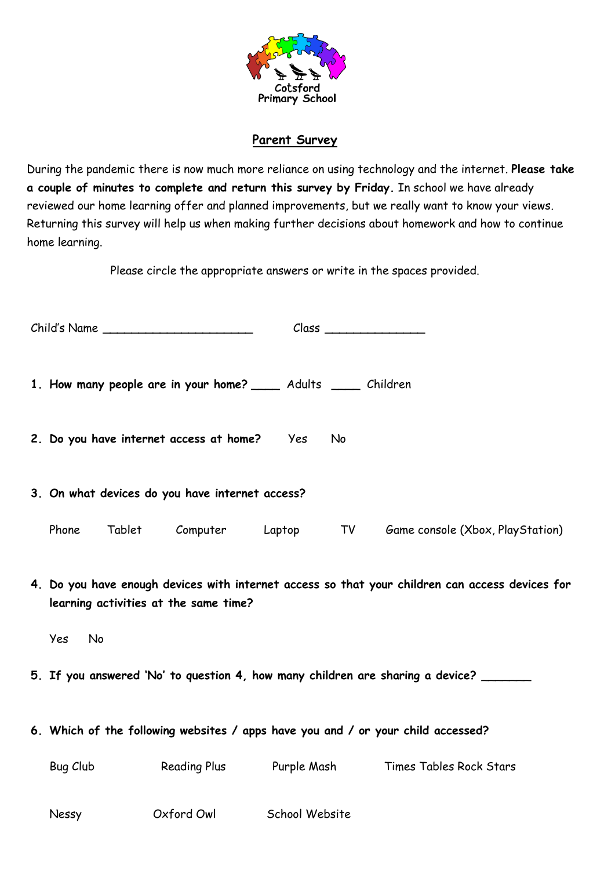

## **Parent Survey**

During the pandemic there is now much more reliance on using technology and the internet. **Please take a couple of minutes to complete and return this survey by Friday.** In school we have already reviewed our home learning offer and planned improvements, but we really want to know your views. Returning this survey will help us when making further decisions about homework and how to continue home learning.

Please circle the appropriate answers or write in the spaces provided.

| Child's Name |                                                                                                                                                       |                                                                  |  |    |                                                            |
|--------------|-------------------------------------------------------------------------------------------------------------------------------------------------------|------------------------------------------------------------------|--|----|------------------------------------------------------------|
|              |                                                                                                                                                       | 1. How many people are in your home? _____ Adults _____ Children |  |    |                                                            |
|              |                                                                                                                                                       | 2. Do you have internet access at home? Yes                      |  | No |                                                            |
|              | 3. On what devices do you have internet access?                                                                                                       |                                                                  |  |    |                                                            |
|              | Phone                                                                                                                                                 |                                                                  |  |    | Tablet Computer Laptop TV Game console (Xbox, PlayStation) |
|              | 4. Do you have enough devices with internet access so that your children can access devices for<br>learning activities at the same time?<br>Yes<br>No |                                                                  |  |    |                                                            |
|              | 5. If you answered 'No' to question 4, how many children are sharing a device?                                                                        |                                                                  |  |    |                                                            |
|              | 6. Which of the following websites / apps have you and / or your child accessed?                                                                      |                                                                  |  |    |                                                            |
|              | Bug Club <b>Example</b>                                                                                                                               |                                                                  |  |    | Reading Plus Purple Mash Times Tables Rock Stars           |
|              | Nessy                                                                                                                                                 | Oxford Owl School Website                                        |  |    |                                                            |